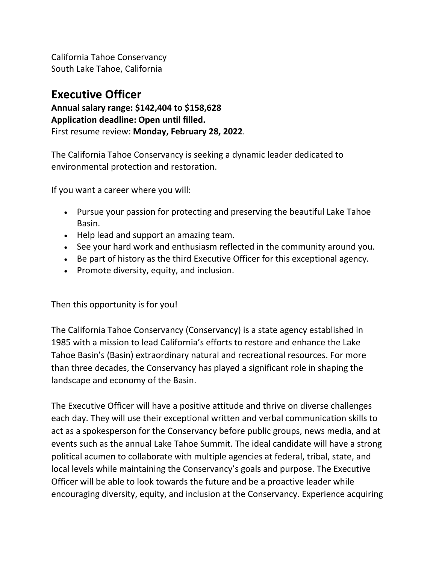California Tahoe Conservancy South Lake Tahoe, California

## **Executive Officer**

**Annual salary range: \$142,404 to \$158,628 Application deadline: Open until filled.** First resume review: **Monday, February 28, 2022**.

The California Tahoe Conservancy is seeking a dynamic leader dedicated to environmental protection and restoration.

If you want a career where you will:

- Pursue your passion for protecting and preserving the beautiful Lake Tahoe Basin.
- Help lead and support an amazing team.
- See your hard work and enthusiasm reflected in the community around you.
- Be part of history as the third Executive Officer for this exceptional agency.
- Promote diversity, equity, and inclusion.

Then this opportunity is for you!

The California Tahoe Conservancy (Conservancy) is a state agency established in 1985 with a mission to lead California's efforts to restore and enhance the Lake Tahoe Basin's (Basin) extraordinary natural and recreational resources. For more than three decades, the Conservancy has played a significant role in shaping the landscape and economy of the Basin.

The Executive Officer will have a positive attitude and thrive on diverse challenges each day. They will use their exceptional written and verbal communication skills to act as a spokesperson for the Conservancy before public groups, news media, and at events such as the annual Lake Tahoe Summit. The ideal candidate will have a strong political acumen to collaborate with multiple agencies at federal, tribal, state, and local levels while maintaining the Conservancy's goals and purpose. The Executive Officer will be able to look towards the future and be a proactive leader while encouraging diversity, equity, and inclusion at the Conservancy. Experience acquiring